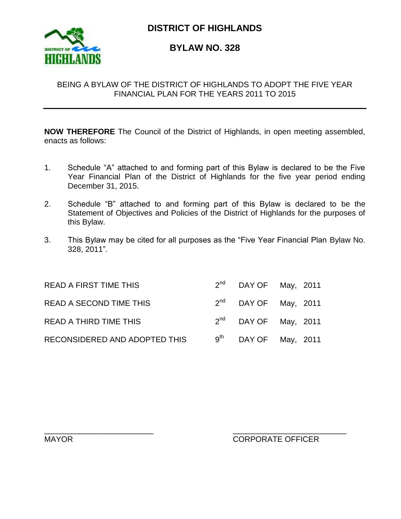

**DISTRICT OF HIGHLANDS**

**BYLAW NO. 328**

# BEING A BYLAW OF THE DISTRICT OF HIGHLANDS TO ADOPT THE FIVE YEAR FINANCIAL PLAN FOR THE YEARS 2011 TO 2015

**NOW THEREFORE** The Council of the District of Highlands, in open meeting assembled, enacts as follows:

- 1. Schedule "A" attached to and forming part of this Bylaw is declared to be the Five Year Financial Plan of the District of Highlands for the five year period ending December 31, 2015.
- 2. Schedule "B" attached to and forming part of this Bylaw is declared to be the Statement of Objectives and Policies of the District of Highlands for the purposes of this Bylaw.
- 3. This Bylaw may be cited for all purposes as the "Five Year Financial Plan Bylaw No. 328, 2011".

| <b>READ A FIRST TIME THIS</b>  | $2nd$ DAY OF May, 2011    |  |
|--------------------------------|---------------------------|--|
| <b>READ A SECOND TIME THIS</b> | $2^{nd}$ DAY OF May, 2011 |  |
| <b>READ A THIRD TIME THIS</b>  | $2^{nd}$ DAY OF May, 2011 |  |
| RECONSIDERED AND ADOPTED THIS  | $9^{th}$ DAY OF May, 2011 |  |

\_\_\_\_\_\_\_\_\_\_\_\_\_\_\_\_\_\_\_\_\_\_\_\_\_ \_\_\_\_\_\_\_\_\_\_\_\_\_\_\_\_\_\_\_\_\_\_\_\_\_\_

# MAYOR EXAMPLE OF THE CORPORATE OFFICER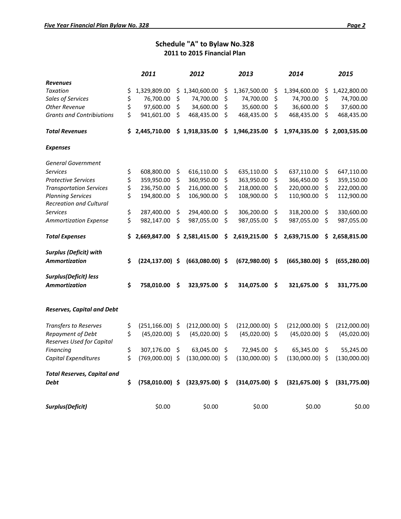### **Schedule "A" to Bylaw No.328 2011 to 2015 Financial Plan**

|                                                            |     | 2011               |    | 2012               | 2013               | 2014               |         | 2015          |
|------------------------------------------------------------|-----|--------------------|----|--------------------|--------------------|--------------------|---------|---------------|
| <b>Revenues</b>                                            |     |                    |    |                    |                    |                    |         |               |
| <b>Taxation</b>                                            | \$  | 1,329,809.00       | \$ | 1,340,600.00       | \$<br>1,367,500.00 | \$<br>1,394,600.00 | \$      | 1,422,800.00  |
| Sales of Services                                          | \$  | 76,700.00          | \$ | 74,700.00          | \$<br>74,700.00    | \$<br>74,700.00    | \$      | 74,700.00     |
| <b>Other Revenue</b>                                       | \$  | 97,600.00          | \$ | 34,600.00          | \$<br>35,600.00    | \$<br>36,600.00    | \$      | 37,600.00     |
| <b>Grants and Contribiutions</b>                           | \$  | 941,601.00         | \$ | 468,435.00         | \$<br>468,435.00   | \$<br>468,435.00   | \$      | 468,435.00    |
| Total Revenues                                             | S.  | 2,445,710.00       |    | \$1,918,335.00     | \$<br>1,946,235.00 | \$<br>1,974,335.00 | \$      | 2,003,535.00  |
| <b>Expenses</b>                                            |     |                    |    |                    |                    |                    |         |               |
| <b>General Government</b>                                  |     |                    |    |                    |                    |                    |         |               |
| <b>Services</b>                                            | \$  | 608,800.00         | \$ | 616,110.00         | \$<br>635,110.00   | \$<br>637,110.00   | \$      | 647,110.00    |
| <b>Protective Services</b>                                 | \$  | 359,950.00         | \$ | 360,950.00         | \$<br>363,950.00   | \$<br>366,450.00   | \$      | 359,150.00    |
| <b>Transportation Services</b>                             | \$  | 236,750.00         | \$ | 216,000.00         | \$<br>218,000.00   | \$<br>220,000.00   | \$      | 222,000.00    |
| <b>Planning Services</b><br><b>Recreation and Cultural</b> | \$  | 194,800.00         | \$ | 106,900.00         | \$<br>108,900.00   | \$<br>110,900.00   | \$      | 112,900.00    |
| <b>Services</b>                                            | \$  | 287,400.00         | \$ | 294,400.00         | \$<br>306,200.00   | \$<br>318,200.00   | \$      | 330,600.00    |
| <b>Ammortization Expense</b>                               | \$  | 982,147.00         | \$ | 987,055.00         | \$<br>987,055.00   | \$<br>987,055.00   | $\zeta$ | 987,055.00    |
| <b>Total Expenses</b>                                      | \$. | 2,669,847.00       |    | \$2,581,415.00     | \$<br>2,619,215.00 | \$<br>2,639,715.00 | \$      | 2,658,815.00  |
| <b>Surplus (Deficit) with</b>                              |     |                    |    |                    |                    |                    |         |               |
| <b>Ammortization</b>                                       | \$  | $(224, 137.00)$ \$ |    | $(663,080.00)$ \$  | $(672,980.00)$ \$  | $(665,380.00)$ \$  |         | (655, 280.00) |
| Surplus(Deficit) less<br><b>Ammortization</b>              | \$  | 758,010.00         | Ŝ  | 323,975.00         | \$<br>314,075.00   | \$<br>321,675.00   | \$      | 331,775.00    |
| <b>Reserves, Capital and Debt</b>                          |     |                    |    |                    |                    |                    |         |               |
| <b>Transfers to Reserves</b>                               | \$  | $(251, 166.00)$ \$ |    | $(212,000.00)$ \$  | $(212,000.00)$ \$  | $(212,000.00)$ \$  |         | (212,000.00)  |
| Repayment of Debt<br>Reserves Used for Capital             | \$  | $(45,020.00)$ \$   |    | $(45,020.00)$ \$   | $(45,020.00)$ \$   | $(45,020.00)$ \$   |         | (45,020.00)   |
| Financing                                                  | \$  | 307,176.00         | \$ | 63,045.00          | \$<br>72,945.00    | \$<br>65,345.00 \$ |         | 55,245.00     |
| Capital Expenditures                                       | \$  | $(769,000.00)$ \$  |    | $(130,000.00)$ \$  | $(130,000.00)$ \$  | $(130,000.00)$ \$  |         | (130,000.00)  |
| <b>Total Reserves, Capital and</b>                         |     |                    |    |                    |                    |                    |         |               |
| Debt                                                       | \$  | $(758,010.00)$ \$  |    | $(323, 975.00)$ \$ | $(314,075.00)$ \$  | $(321, 675.00)$ \$ |         | (331,775.00)  |
| <b>Surplus(Deficit)</b>                                    |     | \$0.00             |    | \$0.00             | \$0.00             | \$0.00             |         | \$0.00        |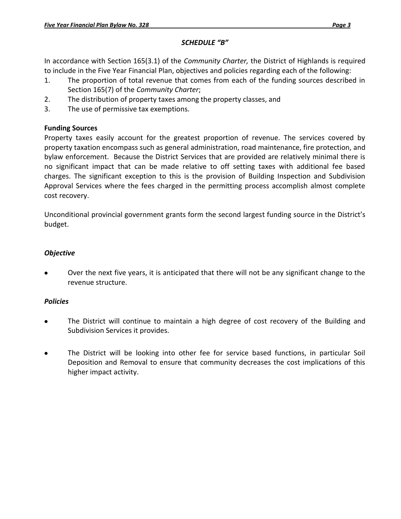### *SCHEDULE "B"*

In accordance with Section 165(3.1) of the *Community Charter,* the District of Highlands is required to include in the Five Year Financial Plan, objectives and policies regarding each of the following:

- 1. The proportion of total revenue that comes from each of the funding sources described in Section 165(7) of the *Community Charter*;
- 2. The distribution of property taxes among the property classes, and
- 3. The use of permissive tax exemptions.

## **Funding Sources**

Property taxes easily account for the greatest proportion of revenue. The services covered by property taxation encompass such as general administration, road maintenance, fire protection, and bylaw enforcement. Because the District Services that are provided are relatively minimal there is no significant impact that can be made relative to off setting taxes with additional fee based charges. The significant exception to this is the provision of Building Inspection and Subdivision Approval Services where the fees charged in the permitting process accomplish almost complete cost recovery.

Unconditional provincial government grants form the second largest funding source in the District's budget.

## *Objective*

Over the next five years, it is anticipated that there will not be any significant change to the revenue structure.

# *Policies*

- The District will continue to maintain a high degree of cost recovery of the Building and  $\bullet$ Subdivision Services it provides.
- $\bullet$ The District will be looking into other fee for service based functions, in particular Soil Deposition and Removal to ensure that community decreases the cost implications of this higher impact activity.